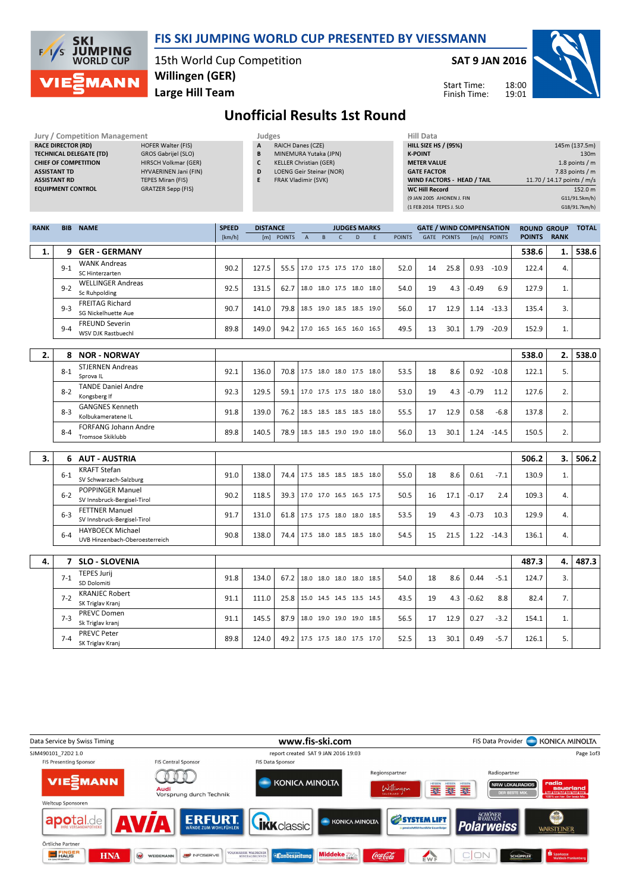

#### FIS SKI JUMPING WORLD CUP PRESENTED BY VIESSMANN

15th World Cup Competition Willingen (GER)

Large Hill Team

SAT 9 JAN 2016



Start Time: Finish Time:

# Unofficial Results 1st Round

| Jury / Competition Management  |                             |   | Judges                          | <b>Hill Data</b>   |
|--------------------------------|-----------------------------|---|---------------------------------|--------------------|
| <b>RACE DIRECTOR (RD)</b>      | HOFER Walter (FIS)          | A | <b>RAICH Danes (CZE)</b>        | <b>HILL SIZE H</b> |
| <b>TECHNICAL DELEGATE (TD)</b> | GROS Gabrijel (SLO)         | B | MINEMURA Yutaka (JPN)           | <b>K-POINT</b>     |
| <b>CHIEF OF COMPETITION</b>    | <b>HIRSCH Volkmar (GER)</b> |   | <b>KELLER Christian (GER)</b>   | <b>METER VAI</b>   |
| <b>ASSISTANT TD</b>            | HYVAERINEN Jani (FIN)       | D | <b>LOENG Geir Steinar (NOR)</b> | <b>GATE FACT</b>   |
| <b>ASSISTANT RD</b>            | <b>TEPES Miran (FIS)</b>    |   | <b>FRAK Vladimir (SVK)</b>      | <b>WIND FACT</b>   |
| <b>COURSILITY CONTROL</b>      | CDATTCDC                    |   |                                 | $\cdots$           |

- EQUIPMENT CONTROL GRATZER Sepp (FIS)
- A RAICH Danes (CZE) B MINEMURA Yutaka (JPN)
- C KELLER Christian (GER)
- D LOENG Geir Steinar (NOR)
- E FRAK Vladimir (SVK)

| Hill Data                   |                            |
|-----------------------------|----------------------------|
| <b>HILL SIZE HS / (95%)</b> | 145m (137.5m)              |
| <b>K-POINT</b>              | 130 <sub>m</sub>           |
| <b>METER VALUE</b>          | 1.8 points $/m$            |
| <b>GATE FACTOR</b>          | 7.83 points $/m$           |
| WIND FACTORS - HEAD / TAIL  | 11.70 / 14.17 points / m/s |
| <b>WC Hill Record</b>       | 152.0 m                    |
| (9 JAN 2005 AHONEN J. FIN   | G11/91.5km/h)              |
| (1 FEB 2014 TEPES J. SLO    | G18/91.7km/h)              |
|                             |                            |

| <b>RANK</b> | <b>BIB</b> | <b>NAME</b>                                               | <b>SPEED</b> | <b>DISTANCE</b> |            |                                 |   |              | <b>JUDGES MARKS</b>      |   |               |    | <b>GATE / WIND COMPENSATION</b> |         |               | <b>ROUND GROUP</b> |             | <b>TOTAL</b> |
|-------------|------------|-----------------------------------------------------------|--------------|-----------------|------------|---------------------------------|---|--------------|--------------------------|---|---------------|----|---------------------------------|---------|---------------|--------------------|-------------|--------------|
|             |            |                                                           | [km/h]       |                 | [m] POINTS | $\overline{A}$                  | B | $\mathsf{C}$ | $\overline{D}$           | F | <b>POINTS</b> |    | <b>GATE POINTS</b>              |         | [m/s] POINTS  | <b>POINTS</b>      | <b>RANK</b> |              |
| 1.          |            | 9 GER - GERMANY                                           |              |                 |            |                                 |   |              |                          |   |               |    |                                 |         |               | 538.6              | 1.          | 538.6        |
|             | $9 - 1$    | <b>WANK Andreas</b><br>SC Hinterzarten                    | 90.2         | 127.5           | 55.5       |                                 |   |              | 17.0 17.5 17.5 17.0 18.0 |   | 52.0          | 14 | 25.8                            |         | $0.93 - 10.9$ | 122.4              | 4.          |              |
|             | $9 - 2$    | <b>WELLINGER Andreas</b><br>Sc Ruhpolding                 | 92.5         | 131.5           | 62.7       |                                 |   |              | 18.0 18.0 17.5 18.0 18.0 |   | 54.0          | 19 | 4.3                             | $-0.49$ | 6.9           | 127.9              | 1.          |              |
|             | $9 - 3$    | <b>FREITAG Richard</b><br>SG Nickelhuette Aue             | 90.7         | 141.0           |            | 79.8   18.5 19.0 18.5 18.5 19.0 |   |              |                          |   | 56.0          | 17 | 12.9                            |         | $1.14 - 13.3$ | 135.4              | 3.          |              |
|             | $9 - 4$    | <b>FREUND Severin</b><br>WSV DJK Rastbuechl               | 89.8         | 149.0           | 94.2       |                                 |   |              | 17.0 16.5 16.5 16.0 16.5 |   | 49.5          | 13 | 30.1                            | 1.79    | $-20.9$       | 152.9              | 1.          |              |
|             |            |                                                           |              |                 |            |                                 |   |              |                          |   |               |    |                                 |         |               |                    |             |              |
| 2.          | 8          | <b>NOR - NORWAY</b>                                       |              |                 |            |                                 |   |              |                          |   |               |    |                                 |         |               | 538.0              | 2.          | 538.0        |
|             | $8 - 1$    | <b>STJERNEN Andreas</b><br>Sprova <sub>IL</sub>           | 92.1         | 136.0           |            | 70.8 17.5 18.0 18.0 17.5 18.0   |   |              |                          |   | 53.5          | 18 | 8.6                             |         | $0.92 - 10.8$ | 122.1              | 5.          |              |
|             | $8 - 2$    | <b>TANDE Daniel Andre</b><br>Kongsberg If                 | 92.3         | 129.5           | 59.1       |                                 |   |              | 17.0 17.5 17.5 18.0 18.0 |   | 53.0          | 19 | 4.3                             | $-0.79$ | 11.2          | 127.6              | 2.          |              |
|             | $8 - 3$    | <b>GANGNES Kenneth</b><br>Kolbukameratene IL              | 91.8         | 139.0           |            | 76.2 18.5 18.5 18.5 18.5 18.0   |   |              |                          |   | 55.5          | 17 | 12.9                            | 0.58    | $-6.8$        | 137.8              | 2.          |              |
|             | $8 - 4$    | <b>FORFANG Johann Andre</b><br>Tromsoe Skiklubb           | 89.8         | 140.5           | 78.9       |                                 |   |              | 18.5 18.5 19.0 19.0 18.0 |   | 56.0          | 13 | 30.1                            | 1.24    | $-14.5$       | 150.5              | 2.          |              |
|             |            |                                                           |              |                 |            |                                 |   |              |                          |   |               |    |                                 |         |               |                    |             |              |
| 3.          |            | 6 AUT - AUSTRIA                                           |              |                 |            |                                 |   |              |                          |   |               |    |                                 |         |               | 506.2              | 3.          | 506.2        |
|             | $6 - 1$    | <b>KRAFT Stefan</b><br>SV Schwarzach-Salzburg             | 91.0         | 138.0           |            | 74.4   17.5 18.5 18.5 18.5 18.0 |   |              |                          |   | 55.0          | 18 | 8.6                             | 0.61    | $-7.1$        | 130.9              | 1.          |              |
|             | $6 - 2$    | POPPINGER Manuel<br>SV Innsbruck-Bergisel-Tirol           | 90.2         | 118.5           |            | 39.3 17.0 17.0 16.5 16.5 17.5   |   |              |                          |   | 50.5          | 16 | 17.1                            | $-0.17$ | 2.4           | 109.3              | 4.          |              |
|             | $6 - 3$    | <b>FETTNER Manuel</b><br>SV Innsbruck-Bergisel-Tirol      | 91.7         | 131.0           |            | 61.8 17.5 17.5 18.0 18.0 18.5   |   |              |                          |   | 53.5          | 19 | 4.3                             | $-0.73$ | 10.3          | 129.9              | 4.          |              |
|             | $6 - 4$    | <b>HAYBOECK Michael</b><br>UVB Hinzenbach-Oberoesterreich | 90.8         | 138.0           |            | 74.4   17.5 18.0 18.5 18.5 18.0 |   |              |                          |   | 54.5          | 15 | 21.5                            |         | $1.22 - 14.3$ | 136.1              | 4.          |              |
|             |            |                                                           |              |                 |            |                                 |   |              |                          |   |               |    |                                 |         |               |                    |             |              |
| 4.          | 7          | <b>SLO - SLOVENIA</b>                                     |              |                 |            |                                 |   |              |                          |   |               |    |                                 |         |               | 487.3              | 4.          | 487.3        |
|             | $7-1$      | <b>TEPES Jurij</b><br>SD Dolomiti                         | 91.8         | 134.0           | 67.2       |                                 |   |              | 18.0 18.0 18.0 18.0 18.5 |   | 54.0          | 18 | 8.6                             | 0.44    | $-5.1$        | 124.7              | 3.          |              |
|             | $7 - 2$    | <b>KRANJEC Robert</b><br>SK Triglav Kranj                 | 91.1         | 111.0           |            | 25.8   15.0 14.5 14.5 13.5 14.5 |   |              |                          |   | 43.5          | 19 | 4.3                             | $-0.62$ | 8.8           | 82.4               | 7.          |              |
|             | $7-3$      | <b>PREVC Domen</b><br>Sk Triglav kranj                    | 91.1         | 145.5           | 87.9       |                                 |   |              | 18.0 19.0 19.0 19.0 18.5 |   | 56.5          | 17 | 12.9                            | 0.27    | $-3.2$        | 154.1              | 1.          |              |
|             | $7 - 4$    | <b>PREVC Peter</b><br>SK Triglav Kranj                    | 89.8         | 124.0           |            | 49.2 17.5 17.5 18.0 17.5 17.0   |   |              |                          |   | 52.5          | 13 | 30.1                            | 0.49    | $-5.7$        | 126.1              | 5.          |              |

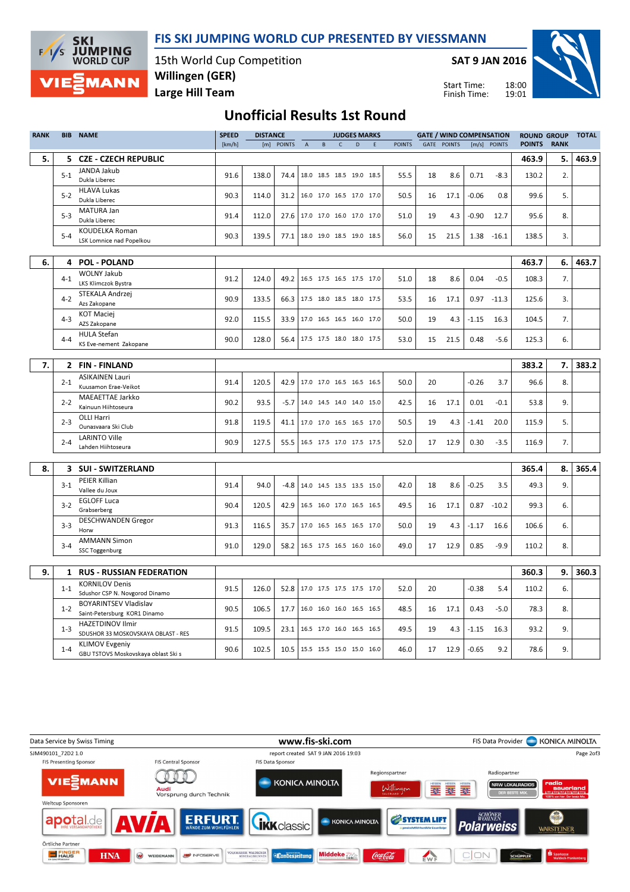



15th World Cup Competition Large Hill Team Willingen (GER)

SAT 9 JAN 2016

Start Time: Finish Time:



## Unofficial Results 1st Round

| <b>RANK</b> | <b>BIB</b>   | <b>NAME</b>                                                    | <b>SPEED</b> | <b>DISTANCE</b> |                                 |                           |          |            | <b>JUDGES MARKS</b>      |   |               |    | <b>GATE / WIND COMPENSATION</b> |         | <b>ROUND GROUP</b> |               |             | <b>TOTAL</b> |
|-------------|--------------|----------------------------------------------------------------|--------------|-----------------|---------------------------------|---------------------------|----------|------------|--------------------------|---|---------------|----|---------------------------------|---------|--------------------|---------------|-------------|--------------|
|             |              |                                                                | [km/h]       |                 | [m] POINTS                      | $\boldsymbol{\mathsf{A}}$ | $\sf{B}$ | $\epsilon$ | D                        | E | <b>POINTS</b> |    | <b>GATE POINTS</b>              | [m/s]   | <b>POINTS</b>      | <b>POINTS</b> | <b>RANK</b> |              |
| 5.          | 5.           | <b>CZE - CZECH REPUBLIC</b>                                    |              |                 |                                 |                           |          |            |                          |   |               |    |                                 |         |                    | 463.9         | 5.          | 463.9        |
|             | $5-1$        | JANDA Jakub                                                    | 91.6         | 138.0           | 74.4                            |                           |          |            | 18.0 18.5 18.5 19.0 18.5 |   | 55.5          | 18 | 8.6                             | 0.71    | $-8.3$             | 130.2         | 2.          |              |
|             |              | Dukla Liberec                                                  |              |                 |                                 |                           |          |            |                          |   |               |    |                                 |         |                    |               |             |              |
|             | $5 - 2$      | <b>HLAVA Lukas</b>                                             | 90.3         | 114.0           | 31.2                            |                           |          |            | 16.0 17.0 16.5 17.0 17.0 |   | 50.5          | 16 | 17.1                            | $-0.06$ | 0.8                | 99.6          | 5.          |              |
|             |              | Dukla Liberec<br>MATURA Jan                                    |              |                 |                                 |                           |          |            |                          |   |               |    |                                 |         |                    |               |             |              |
|             | $5-3$        | Dukla Liberec                                                  | 91.4         | 112.0           | 27.6                            |                           |          |            | 17.0 17.0 16.0 17.0 17.0 |   | 51.0          | 19 | 4.3                             | $-0.90$ | 12.7               | 95.6          | 8.          |              |
|             |              | <b>KOUDELKA Roman</b>                                          |              |                 |                                 |                           |          |            |                          |   |               |    |                                 |         |                    |               |             |              |
|             | $5 - 4$      | LSK Lomnice nad Popelkou                                       | 90.3         | 139.5           | 77.1   18.0 19.0 18.5 19.0 18.5 |                           |          |            |                          |   | 56.0          | 15 | 21.5                            | 1.38    | $-16.1$            | 138.5         | 3.          |              |
|             |              |                                                                |              |                 |                                 |                           |          |            |                          |   |               |    |                                 |         |                    |               |             |              |
| 6.          | 4            | <b>POL - POLAND</b>                                            |              |                 |                                 |                           |          |            |                          |   |               |    |                                 |         |                    | 463.7         | 6.          | 463.7        |
|             | $4 - 1$      | <b>WOLNY Jakub</b>                                             | 91.2         | 124.0           | 49.2                            |                           |          |            | 16.5 17.5 16.5 17.5 17.0 |   | 51.0          | 18 | 8.6                             | 0.04    | $-0.5$             | 108.3         | 7.          |              |
|             |              | LKS Klimczok Bystra                                            |              |                 |                                 |                           |          |            |                          |   |               |    |                                 |         |                    |               |             |              |
|             | $4 - 2$      | STEKALA Andrzej<br>Azs Zakopane                                | 90.9         | 133.5           | 66.3                            | 17.5 18.0 18.5 18.0 17.5  |          |            |                          |   | 53.5          | 16 | 17.1                            | 0.97    | $-11.3$            | 125.6         | 3.          |              |
|             |              | <b>KOT Maciej</b>                                              |              |                 |                                 |                           |          |            |                          |   |               |    |                                 |         |                    |               |             |              |
|             | $4 - 3$      | AZS Zakopane                                                   | 92.0         | 115.5           | 33.9                            |                           |          |            | 17.0 16.5 16.5 16.0 17.0 |   | 50.0          | 19 | 4.3                             | $-1.15$ | 16.3               | 104.5         | 7.          |              |
|             | $4 - 4$      | <b>HULA Stefan</b>                                             | 90.0         | 128.0           | 56.4                            | 17.5 17.5 18.0 18.0 17.5  |          |            |                          |   | 53.0          | 15 | 21.5                            | 0.48    | $-5.6$             | 125.3         | 6.          |              |
|             |              | KS Eve-nement Zakopane                                         |              |                 |                                 |                           |          |            |                          |   |               |    |                                 |         |                    |               |             |              |
|             |              |                                                                |              |                 |                                 |                           |          |            |                          |   |               |    |                                 |         |                    |               |             |              |
| 7.          | $\mathbf{2}$ | <b>FIN-FINLAND</b>                                             |              |                 |                                 |                           |          |            |                          |   |               |    |                                 |         |                    | 383.2         | 7.          | 383.2        |
|             | $2 - 1$      | <b>ASIKAINEN Lauri</b><br>Kuusamon Erae-Veikot                 | 91.4         | 120.5           | 42.9                            |                           |          |            | 17.0 17.0 16.5 16.5 16.5 |   | 50.0          | 20 |                                 | $-0.26$ | 3.7                | 96.6          | 8.          |              |
|             |              | <b>MAEAETTAE Jarkko</b>                                        |              |                 |                                 |                           |          |            |                          |   |               |    |                                 |         |                    |               |             |              |
|             | $2 - 2$      | Kainuun Hiihtoseura                                            | 90.2         | 93.5            | $-5.7$                          |                           |          |            | 14.0 14.5 14.0 14.0 15.0 |   | 42.5          | 16 | 17.1                            | 0.01    | $-0.1$             | 53.8          | 9.          |              |
|             | $2 - 3$      | OLLI Harri                                                     | 91.8         | 119.5           | 41.1                            |                           |          |            | 17.0 17.0 16.5 16.5 17.0 |   | 50.5          | 19 |                                 | $-1.41$ | 20.0               | 115.9         | 5.          |              |
|             |              | Ounasvaara Ski Club                                            |              |                 |                                 |                           |          |            |                          |   |               |    | 4.3                             |         |                    |               |             |              |
|             | $2 - 4$      | <b>LARINTO Ville</b>                                           | 90.9         | 127.5           | 55.5   16.5 17.5 17.0 17.5 17.5 |                           |          |            |                          |   | 52.0          | 17 | 12.9                            | 0.30    | $-3.5$             | 116.9         | 7.          |              |
|             |              | Lahden Hiihtoseura                                             |              |                 |                                 |                           |          |            |                          |   |               |    |                                 |         |                    |               |             |              |
| 8.          |              | 3 SUI - SWITZERLAND                                            |              |                 |                                 |                           |          |            |                          |   |               |    |                                 |         |                    | 365.4         | 8.          | 365.4        |
|             |              | PEIER Killian                                                  |              |                 |                                 |                           |          |            |                          |   |               |    |                                 |         |                    |               |             |              |
|             | $3-1$        | Vallee du Joux                                                 | 91.4         | 94.0            | -4.8                            |                           |          |            | 14.0 14.5 13.5 13.5 15.0 |   | 42.0          | 18 | 8.6                             | $-0.25$ | 3.5                | 49.3          | 9.          |              |
|             |              | <b>EGLOFF Luca</b>                                             |              |                 |                                 |                           |          |            |                          |   |               |    |                                 |         |                    |               |             |              |
|             | $3 - 2$      | Grabserberg                                                    | 90.4         | 120.5           | 42.9                            |                           |          |            | 16.5 16.0 17.0 16.5 16.5 |   | 49.5          | 16 | 17.1                            | 0.87    | $-10.2$            | 99.3          | 6.          |              |
|             | $3 - 3$      | <b>DESCHWANDEN Gregor</b>                                      | 91.3         | 116.5           | 35.7                            | 17.0 16.5 16.5 16.5 17.0  |          |            |                          |   | 50.0          | 19 | 4.3                             | $-1.17$ | 16.6               | 106.6         | 6.          |              |
|             |              | Horw<br><b>AMMANN Simon</b>                                    |              |                 |                                 |                           |          |            |                          |   |               |    |                                 |         |                    |               |             |              |
|             | $3 - 4$      | SSC Toggenburg                                                 | 91.0         | 129.0           | 58.2   16.5 17.5 16.5 16.0 16.0 |                           |          |            |                          |   | 49.0          | 17 | 12.9                            | 0.85    | $-9.9$             | 110.2         | 8.          |              |
|             |              |                                                                |              |                 |                                 |                           |          |            |                          |   |               |    |                                 |         |                    |               |             |              |
| 9.          | 1            | <b>RUS - RUSSIAN FEDERATION</b>                                |              |                 |                                 |                           |          |            |                          |   |               |    |                                 |         |                    | 360.3         | 9.          | 360.3        |
|             |              | <b>KORNILOV Denis</b>                                          |              |                 |                                 |                           |          |            |                          |   |               |    |                                 |         |                    |               |             |              |
|             | $1 - 1$      | Sdushor CSP N. Novgorod Dinamo                                 | 91.5         | 126.0           | 52.8   17.0 17.5 17.5 17.5 17.0 |                           |          |            |                          |   | 52.0          | 20 |                                 | $-0.38$ | 5.4                | 110.2         | 6.          |              |
|             | $1 - 2$      | <b>BOYARINTSEV Vladislav</b>                                   | 90.5         | 106.5           | 17.7                            |                           |          |            | 16.0 16.0 16.0 16.5 16.5 |   | 48.5          | 16 | 17.1                            | 0.43    | $-5.0$             | 78.3          | 8.          |              |
|             |              | Saint-Petersburg KOR1 Dinamo                                   |              |                 |                                 |                           |          |            |                          |   |               |    |                                 |         |                    |               |             |              |
|             | $1 - 3$      | <b>HAZETDINOV Ilmir</b><br>SDUSHOR 33 MOSKOVSKAYA OBLAST - RES | 91.5         | 109.5           | 23.1                            |                           |          |            | 16.5 17.0 16.0 16.5 16.5 |   | 49.5          | 19 | 4.3                             | $-1.15$ | 16.3               | 93.2          | 9.          |              |
|             |              | <b>KLIMOV Evgeniy</b>                                          |              |                 |                                 |                           |          |            |                          |   |               |    |                                 |         |                    |               |             |              |
|             | $1 - 4$      | GBU TSTOVS Moskovskaya oblast Ski s                            | 90.6         | 102.5           | 10.5   15.5 15.5 15.0 15.0 16.0 |                           |          |            |                          |   | 46.0          | 17 | 12.9                            | $-0.65$ | 9.2                | 78.6          | 9.          |              |